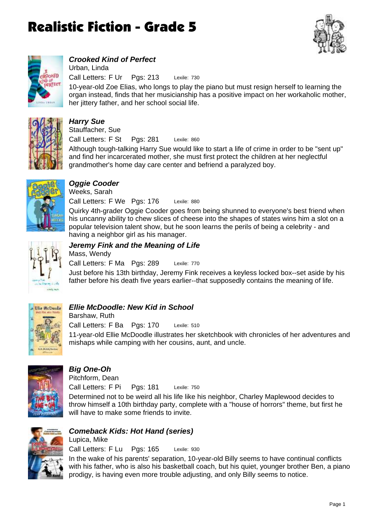



### *Crooked Kind of Perfect*

Lexile: 730 Call Letters: F Ur Pgs: 213 Urban, Linda

10-year-old Zoe Elias, who longs to play the piano but must resign herself to learning the organ instead, finds that her musicianship has a positive impact on her workaholic mother, her jittery father, and her school social life.



## *Harry Sue*

Lexile: 860 Call Letters: F St Pgs: 281 Stauffacher, Sue

Although tough-talking Harry Sue would like to start a life of crime in order to be "sent up" and find her incarcerated mother, she must first protect the children at her neglectful grandmother's home day care center and befriend a paralyzed boy.



### *Oggie Cooder*

Call Letters: F We Pgs: 176 Weeks, Sarah

Quirky 4th-grader Oggie Cooder goes from being shunned to everyone's best friend when his uncanny ability to chew slices of cheese into the shapes of states wins him a slot on a popular television talent show, but he soon learns the perils of being a celebrity - and having a neighbor girl as his manager.

Lexile: 880



## *Jeremy Fink and the Meaning of Life*

Lexile: 770 Call Letters: F Ma Pgs: 289 Mass, Wendy

Just before his 13th birthday, Jeremy Fink receives a keyless locked box--set aside by his father before his death five years earlier--that supposedly contains the meaning of life.



### *Ellie McDoodle: New Kid in School*

Lexile: 510 11-year-old Ellie McDoodle illustrates her sketchbook with chronicles of her adventures and mishaps while camping with her cousins, aunt, and uncle. Call Letters: F Ba Pgs: 170 Barshaw, Ruth



### *Big One-Oh*

Pitchform, Dean

Lexile: 750 Determined not to be weird all his life like his neighbor, Charley Maplewood decides to throw himself a 10th birthday party, complete with a "house of horrors" theme, but first he will have to make some friends to invite. Call Letters: F Pi Pgs: 181



### *Comeback Kids: Hot Hand (series)*

Lexile: 930 Call Letters: F Lu Pgs: 165 Lupica, Mike

In the wake of his parents' separation, 10-year-old Billy seems to have continual conflicts with his father, who is also his basketball coach, but his quiet, younger brother Ben, a piano prodigy, is having even more trouble adjusting, and only Billy seems to notice.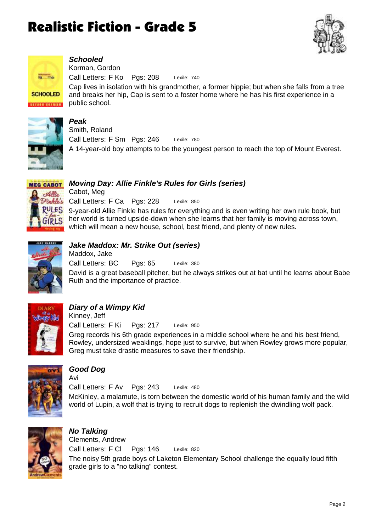



### *Schooled*

Lexile: 740 Call Letters: F Ko Pgs: 208 Korman, Gordon

Cap lives in isolation with his grandmother, a former hippie; but when she falls from a tree and breaks her hip, Cap is sent to a foster home where he has his first experience in a public school.



### *Peak*

Lexile: 780 A 14-year-old boy attempts to be the youngest person to reach the top of Mount Everest. Call Letters: F Sm Pgs: 246 Smith, Roland



### *Moving Day: Allie Finkle's Rules for Girls (series)*

Lexile: 850 9-year-old Allie Finkle has rules for everything and is even writing her own rule book, but her world is turned upside-down when she learns that her family is moving across town, which will mean a new house, school, best friend, and plenty of new rules. Call Letters: F Ca Pgs: 228 Cabot, Meg



### *Jake Maddox: Mr. Strike Out (series)*

Lexile: 380 David is a great baseball pitcher, but he always strikes out at bat until he learns about Babe Ruth and the importance of practice. Call Letters: BC Pgs: 65 Maddox, Jake



### *Diary of a Wimpy Kid*

Lexile: 950 Greg records his 6th grade experiences in a middle school where he and his best friend, Rowley, undersized weaklings, hope just to survive, but when Rowley grows more popular, Greg must take drastic measures to save their friendship. Call Letters: F Ki Pgs: 217 Kinney, Jeff



### *Good Dog*

Lexile: 480 McKinley, a malamute, is torn between the domestic world of his human family and the wild world of Lupin, a wolf that is trying to recruit dogs to replenish the dwindling wolf pack. Call Letters: F Av Pgs: 243 Avi



#### *No Talking* Lexile: 820 The noisy 5th grade boys of Laketon Elementary School challenge the equally loud fifth grade girls to a "no talking" contest. Call Letters: F Cl Pgs: 146 Clements, Andrew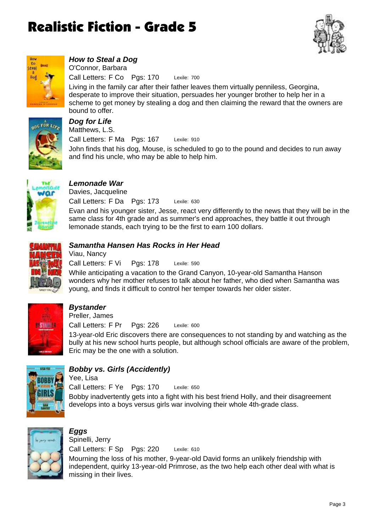



### *How to Steal a Dog*

Lexile: 700 Call Letters: F Co Pgs: 170 O'Connor, Barbara

Living in the family car after their father leaves them virtually penniless, Georgina, desperate to improve their situation, persuades her younger brother to help her in a scheme to get money by stealing a dog and then claiming the reward that the owners are bound to offer.



#### *Dog for Life* Lexile: 910 John finds that his dog, Mouse, is scheduled to go to the pound and decides to run away and find his uncle, who may be able to help him. Call Letters: F Ma Pgs: 167 Matthews, L.S.



### *Lemonade War*

Lexile: 630 Evan and his younger sister, Jesse, react very differently to the news that they will be in the same class for 4th grade and as summer's end approaches, they battle it out through lemonade stands, each trying to be the first to earn 100 dollars. Call Letters: F Da Pgs: 173 Davies, Jacqueline



### *Samantha Hansen Has Rocks in Her Head*

Lexile: 590 Call Letters: F Vi Pgs: 178 Viau, Nancy

While anticipating a vacation to the Grand Canyon, 10-year-old Samantha Hanson wonders why her mother refuses to talk about her father, who died when Samantha was young, and finds it difficult to control her temper towards her older sister.



### *Bystander*

Lexile: 600 13-year-old Eric discovers there are consequences to not standing by and watching as the bully at his new school hurts people, but although school officials are aware of the problem, Eric may be the one with a solution. Call Letters: F Pr Pgs: 226 Preller, James



### *Bobby vs. Girls (Accidently)*

Lexile: 650 Bobby inadvertently gets into a fight with his best friend Holly, and their disagreement develops into a boys versus girls war involving their whole 4th-grade class. Call Letters: F Ye Pgs: 170 Yee, Lisa



### *Eggs*

Lexile: 610 Mourning the loss of his mother, 9-year-old David forms an unlikely friendship with independent, quirky 13-year-old Primrose, as the two help each other deal with what is missing in their lives. Call Letters: F Sp Pgs: 220 Spinelli, Jerry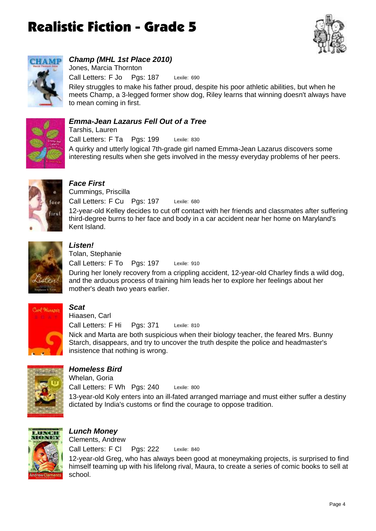



## *Champ (MHL 1st Place 2010)*

Lexile: 690 Call Letters: F Jo Pgs: 187 Jones, Marcia Thornton

Riley struggles to make his father proud, despite his poor athletic abilities, but when he meets Champ, a 3-legged former show dog, Riley learns that winning doesn't always have to mean coming in first.



### *Emma-Jean Lazarus Fell Out of a Tree*

Lexile: 830 A quirky and utterly logical 7th-grade girl named Emma-Jean Lazarus discovers some interesting results when she gets involved in the messy everyday problems of her peers. Call Letters: F Ta Pgs: 199 Tarshis, Lauren



## *Face First*

Lexile: 680 12-year-old Kelley decides to cut off contact with her friends and classmates after suffering third-degree burns to her face and body in a car accident near her home on Maryland's Kent Island. Call Letters: F Cu Pgs: 197 Cummings, Priscilla



### *Listen!*

Lexile: 910 Call Letters: F To Pgs: 197 Tolan, Stephanie

During her lonely recovery from a crippling accident, 12-year-old Charley finds a wild dog, and the arduous process of training him leads her to explore her feelings about her mother's death two years earlier.



### *Scat*

Lexile: 810 Nick and Marta are both suspicious when their biology teacher, the feared Mrs. Bunny Starch, disappears, and try to uncover the truth despite the police and headmaster's insistence that nothing is wrong. Call Letters: F Hi Pgs: 371 Hiaasen, Carl



### *Homeless Bird*

Lexile: 800 13-year-old Koly enters into an ill-fated arranged marriage and must either suffer a destiny dictated by India's customs or find the courage to oppose tradition. Call Letters: F Wh Pgs: 240 Whelan, Goria



#### *Lunch Money* Lexile: 840 Call Letters: F Cl Pgs: 222 Clements, Andrew

12-year-old Greg, who has always been good at moneymaking projects, is surprised to find himself teaming up with his lifelong rival, Maura, to create a series of comic books to sell at school.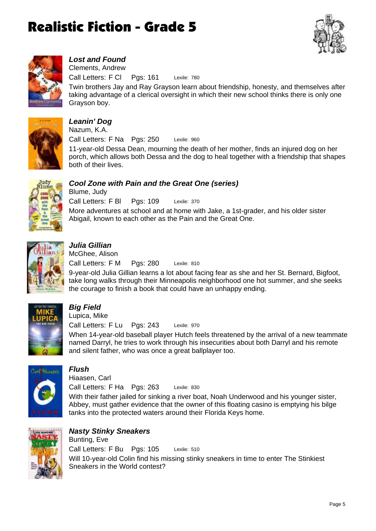



### *Lost and Found*

Lexile: 780 Call Letters: F Cl Pgs: 161 Clements, Andrew

Twin brothers Jay and Ray Grayson learn about friendship, honesty, and themselves after taking advantage of a clerical oversight in which their new school thinks there is only one Grayson boy.



#### *Leanin' Dog* Lexile: 960 11-year-old Dessa Dean, mourning the death of her mother, finds an injured dog on her porch, which allows both Dessa and the dog to heal together with a friendship that shapes Call Letters: F Na Pgs: 250 Nazum, K.A.



#### *Cool Zone with Pain and the Great One (series)* Blume, Judy

Lexile: 370 More adventures at school and at home with Jake, a 1st-grader, and his older sister Abigail, known to each other as the Pain and the Great One. Call Letters: F Bl Pgs: 109



### *Julia Gillian*

both of their lives.

Lexile: 810 9-year-old Julia Gillian learns a lot about facing fear as she and her St. Bernard, Bigfoot, take long walks through their Minneapolis neighborhood one hot summer, and she seeks the courage to finish a book that could have an unhappy ending. Call Letters: F M Pgs: 280 McGhee, Alison



### *Big Field*

Lupica, Mike

Lexile: 970 Call Letters: F Lu Pgs: 243

When 14-year-old baseball player Hutch feels threatened by the arrival of a new teammate named Darryl, he tries to work through his insecurities about both Darryl and his remote and silent father, who was once a great ballplayer too.



### *Flush*

Hiaasen, Carl

Lexile: 830 Call Letters: F Ha Pgs: 263

With their father jailed for sinking a river boat, Noah Underwood and his younger sister, Abbey, must gather evidence that the owner of this floating casino is emptying his bilge tanks into the protected waters around their Florida Keys home.



#### *Nasty Stinky Sneakers* Bunting, Eve

Lexile: 510 Will 10-year-old Colin find his missing stinky sneakers in time to enter The Stinkiest Sneakers in the World contest? Call Letters: F Bu Pgs: 105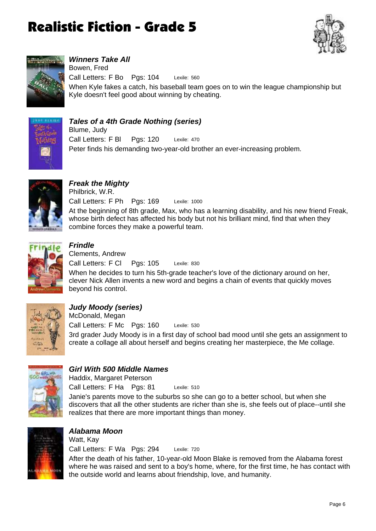



*Winners Take All* Lexile: 560 When Kyle fakes a catch, his baseball team goes on to win the league championship but Kyle doesn't feel good about winning by cheating. Call Letters: F Bo Pgs: 104 Bowen, Fred



### *Tales of a 4th Grade Nothing (series)*

Lexile: 470 Peter finds his demanding two-year-old brother an ever-increasing problem. Call Letters: F Bl Pgs: 120 Blume, Judy



*Freak the Mighty* Lexile: 1000 At the beginning of 8th grade, Max, who has a learning disability, and his new friend Freak, whose birth defect has affected his body but not his brilliant mind, find that when they combine forces they make a powerful team. Call Letters: F Ph Pgs: 169 Philbrick, W.R.



### *Frindle*

Lexile: 830 When he decides to turn his 5th-grade teacher's love of the dictionary around on her, clever Nick Allen invents a new word and begins a chain of events that quickly moves beyond his control. Call Letters: F Cl Pgs: 105 Clements, Andrew



### *Judy Moody (series)*

Lexile: 530 3rd grader Judy Moody is in a first day of school bad mood until she gets an assignment to create a collage all about herself and begins creating her masterpiece, the Me collage. Call Letters: F Mc Pgs: 160 McDonald, Megan



### *Girl With 500 Middle Names*

Call Letters: F Ha Pgs: 81 Haddix, Margaret Peterson

Lexile: 510

Janie's parents move to the suburbs so she can go to a better school, but when she discovers that all the other students are richer than she is, she feels out of place--until she realizes that there are more important things than money.



### *Alabama Moon*

Lexile: 720 After the death of his father, 10-year-old Moon Blake is removed from the Alabama forest where he was raised and sent to a boy's home, where, for the first time, he has contact with the outside world and learns about friendship, love, and humanity. Call Letters: F Wa Pgs: 294 Watt, Kay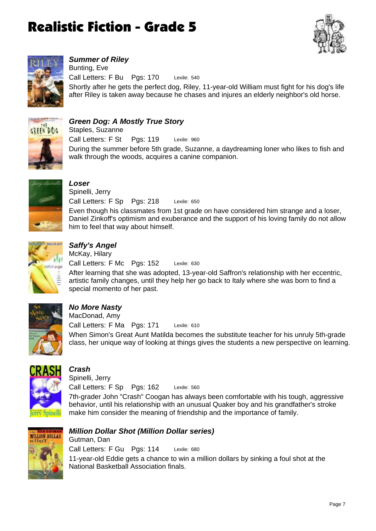



*Summer of Riley*

Lexile: 540 Shortly after he gets the perfect dog, Riley, 11-year-old William must fight for his dog's life after Riley is taken away because he chases and injures an elderly neighbor's old horse. Call Letters: F Bu Pgs: 170 Bunting, Eve



#### *Green Dog: A Mostly True Story*

Lexile: 960 During the summer before 5th grade, Suzanne, a daydreaming loner who likes to fish and walk through the woods, acquires a canine companion. Call Letters: F St Pgs: 119 Staples, Suzanne



### *Loser* Spinelli, Jerry

Lexile: 650 Even though his classmates from 1st grade on have considered him strange and a loser, Daniel Zinkoff's optimism and exuberance and the support of his loving family do not allow him to feel that way about himself. Call Letters: F Sp Pgs: 218



### *Saffy's Angel*

Lexile: 630 After learning that she was adopted, 13-year-old Saffron's relationship with her eccentric, artistic family changes, until they help her go back to Italy where she was born to find a special momento of her past. Call Letters: F Mc Pgs: 152 McKay, Hilary



### *No More Nasty*

Lexile: 610 When Simon's Great Aunt Matilda becomes the substitute teacher for his unruly 5th-grade class, her unique way of looking at things gives the students a new perspective on learning. Call Letters: F Ma Pgs: 171 MacDonad, Amy



### *Crash*

Lexile: 560 7th-grader John "Crash" Coogan has always been comfortable with his tough, aggressive behavior, until his relationship with an unusual Quaker boy and his grandfather's stroke make him consider the meaning of friendship and the importance of family. Call Letters: F Sp Pgs: 162 Spinelli, Jerry



### *Million Dollar Shot (Million Dollar series)*

Lexile: 680 11-year-old Eddie gets a chance to win a million dollars by sinking a foul shot at the National Basketball Association finals. Call Letters: F Gu Pgs: 114 Gutman, Dan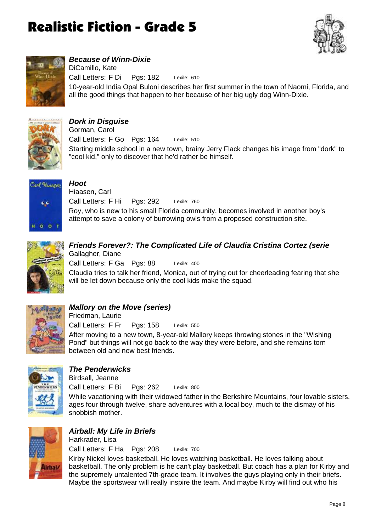



### *Because of Winn-Dixie*

Lexile: 610 10-year-old India Opal Buloni describes her first summer in the town of Naomi, Florida, and all the good things that happen to her because of her big ugly dog Winn-Dixie. Call Letters: F Di Pgs: 182 DiCamillo, Kate



### *Dork in Disguise*

Lexile: 510 Starting middle school in a new town, brainy Jerry Flack changes his image from "dork" to "cool kid," only to discover that he'd rather be himself. Call Letters: F Go Pgs: 164 Gorman, Carol



*Hoot* Lexile: 760 Roy, who is new to his small Florida community, becomes involved in another boy's attempt to save a colony of burrowing owls from a proposed construction site. Call Letters: F Hi Pgs: 292 Hiaasen, Carl



### *Friends Forever?: The Complicated Life of Claudia Cristina Cortez (serie* Gallagher, Diane

Lexile: 400 Claudia tries to talk her friend, Monica, out of trying out for cheerleading fearing that she will be let down because only the cool kids make the squad. Call Letters: F Ga Pgs: 88



### *Mallory on the Move (series)*

Lexile: 550 After moving to a new town, 8-year-old Mallory keeps throwing stones in the "Wishing Pond" but things will not go back to the way they were before, and she remains torn between old and new best friends. Call Letters: F Fr Pgs: 158 Friedman, Laurie



### *The Penderwicks*

Birdsall, Jeanne

Lexile: 800 Call Letters: F Bi Pgs: 262

While vacationing with their widowed father in the Berkshire Mountains, four lovable sisters, ages four through twelve, share adventures with a local boy, much to the dismay of his snobbish mother.



### *Airball: My Life in Briefs*

Lexile: 700 Kirby Nickel loves basketball. He loves watching basketball. He loves talking about basketball. The only problem is he can't play basketball. But coach has a plan for Kirby and the supremely untalented 7th-grade team. It involves the guys playing only in their briefs. Maybe the sportswear will really inspire the team. And maybe Kirby will find out who his Call Letters: F Ha Pgs: 208 Harkrader, Lisa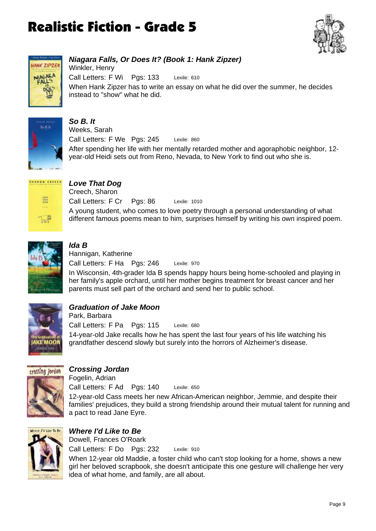



### *Niagara Falls, Or Does It? (Book 1: Hank Zipzer)*

Lexile: 610 When Hank Zipzer has to write an essay on what he did over the summer, he decides instead to "show" what he did. Call Letters: F Wi Pgs: 133 Winkler, Henry



#### *So B. It* Lexile: 860 After spending her life with her mentally retarded mother and agoraphobic neighbor, 12 year-old Heidi sets out from Reno, Nevada, to New York to find out who she is. Call Letters: F We Pgs: 245 Weeks, Sarah



### *Love That Dog*

Lexile: 1010 A young student, who comes to love poetry through a personal understanding of what different famous poems mean to him, surprises himself by writing his own inspired poem. Call Letters: F Cr Pgs: 86 Creech, Sharon



### *Ida B*

Lexile: 970 In Wisconsin, 4th-grader Ida B spends happy hours being home-schooled and playing in her family's apple orchard, until her mother begins treatment for breast cancer and her parents must sell part of the orchard and send her to public school. Call Letters: F Ha Pgs: 246 Hannigan, Katherine



### *Graduation of Jake Moon*

Lexile: 680 14-year-old Jake recalls how he has spent the last four years of his life watching his grandfather descend slowly but surely into the horrors of Alzheimer's disease. Call Letters: F Pa Pgs: 115 Park, Barbara



### *Crossing Jordan*

Fogelin, Adrian

Lexile: 650 12-year-old Cass meets her new African-American neighbor, Jemmie, and despite their families' prejudices, they build a strong friendship around their mutual talent for running and a pact to read Jane Eyre. Call Letters: F Ad Pgs: 140



### *Where I'd Like to Be* Lexile: 910 Call Letters: F Do Pgs: 232 Dowell, Frances O'Roark

When 12-year old Maddie, a foster child who can't stop looking for a home, shows a new girl her beloved scrapbook, she doesn't anticipate this one gesture will challenge her very idea of what home, and family, are all about.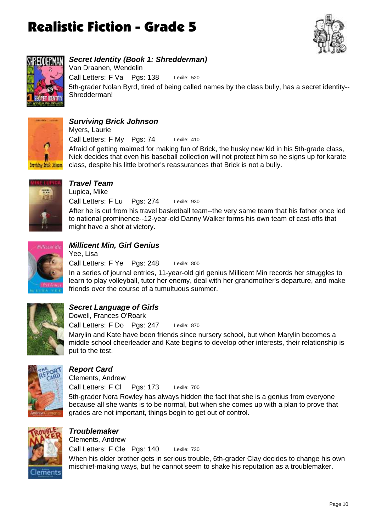



### *Secret Identity (Book 1: Shredderman)*

Lexile: 520 5th-grader Nolan Byrd, tired of being called names by the class bully, has a secret identity-- Shredderman! Call Letters: F Va Pgs: 138 Van Draanen, Wendelin



### *Surviving Brick Johnson*

Lexile: 410 Afraid of getting maimed for making fun of Brick, the husky new kid in his 5th-grade class, Nick decides that even his baseball collection will not protect him so he signs up for karate class, despite his little brother's reassurances that Brick is not a bully. Call Letters: F My Pgs: 74 Myers, Laurie



### *Travel Team*

Lexile: 930 After he is cut from his travel basketball team--the very same team that his father once led to national prominence--12-year-old Danny Walker forms his own team of cast-offs that might have a shot at victory. Call Letters: F Lu Pgs: 274 Lupica, Mike



### *Millicent Min, Girl Genius*

Lexile: 800 In a series of journal entries, 11-year-old girl genius Millicent Min records her struggles to learn to play volleyball, tutor her enemy, deal with her grandmother's departure, and make friends over the course of a tumultuous summer. Call Letters: F Ye Pgs: 248 Yee, Lisa



### *Secret Language of Girls*

Lexile: 870 Call Letters: F Do Pgs: 247 Dowell, Frances O'Roark

Marylin and Kate have been friends since nursery school, but when Marylin becomes a middle school cheerleader and Kate begins to develop other interests, their relationship is put to the test.



### *Report Card*

Clements, Andrew

Lexile: 700 Call Letters: F Cl Pgs: 173

5th-grader Nora Rowley has always hidden the fact that she is a genius from everyone because all she wants is to be normal, but when she comes up with a plan to prove that grades are not important, things begin to get out of control.



## *Troublemaker*

Lexile: 730 When his older brother gets in serious trouble, 6th-grader Clay decides to change his own mischief-making ways, but he cannot seem to shake his reputation as a troublemaker. Call Letters: F Cle Pgs: 140 Clements, Andrew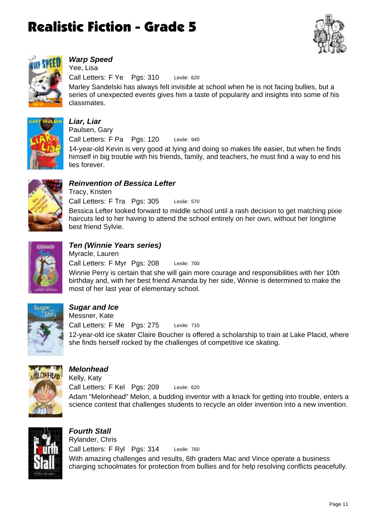



### *Warp Speed*

Lexile: 620 Call Letters: F Ye Pgs: 310 Yee, Lisa

Marley Sandelski has always felt invisible at school when he is not facing bullies, but a series of unexpected events gives him a taste of popularity and insights into some of his classmates.



## *Liar, Liar*

lies forever.

Lexile: 940 14-year-old Kevin is very good at lying and doing so makes life easier, but when he finds himself in big trouble with his friends, family, and teachers, he must find a way to end his Call Letters: F Pa Pgs: 120 Paulsen, Gary



### *Reinvention of Bessica Lefter*

Lexile: 570 Bessica Lefter looked forward to middle school until a rash decision to get matching pixie haircuts led to her having to attend the school entirely on her own, without her longtime best friend Sylvie. Call Letters: F Tra Pgs: 305 Tracy, Kristen



### *Ten (Winnie Years series)*

Lexile: 700 Winnie Perry is certain that she will gain more courage and responsibilities with her 10th birthday and, with her best friend Amanda by her side, Winnie is determined to make the most of her last year of elementary school. Call Letters: F Myr Pgs: 208 Myracle, Lauren



### *Sugar and Ice*

Lexile: 710 12-year-old ice skater Claire Boucher is offered a scholarship to train at Lake Placid, where she finds herself rocked by the challenges of competitive ice skating. Call Letters: F Me Pgs: 275 Messner, Kate



### *Melonhead*

Lexile: 620 Adam "Melonhead" Melon, a budding inventor with a knack for getting into trouble, enters a science contest that challenges students to recycle an older invention into a new invention. Call Letters: F Kel Pgs: 209 Kelly, Katy



*Fourth Stall* Lexile: 760 With amazing challenges and results, 6th graders Mac and Vince operate a business charging schoolmates for protection from bullies and for help resolving conflicts peacefully. Call Letters: F Ryl Pgs: 314 Rylander, Chris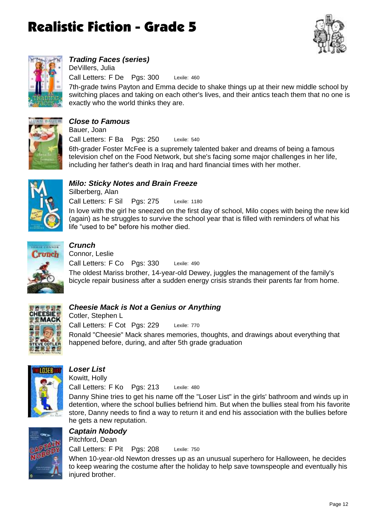



## *Trading Faces (series)*

Lexile: 460 Call Letters: F De Pgs: 300 DeVillers, Julia

7th-grade twins Payton and Emma decide to shake things up at their new middle school by switching places and taking on each other's lives, and their antics teach them that no one is exactly who the world thinks they are.



#### *Close to Famous* Bauer, Joan

Lexile: 540 6th-grader Foster McFee is a supremely talented baker and dreams of being a famous television chef on the Food Network, but she's facing some major challenges in her life, including her father's death in Iraq and hard financial times with her mother. Call Letters: F Ba Pgs: 250



### *Milo: Sticky Notes and Brain Freeze*

Lexile: 1180 In love with the girl he sneezed on the first day of school, Milo copes with being the new kid (again) as he struggles to survive the school year that is filled with reminders of what his life "used to be" before his mother died. Call Letters: F Sil Pgs: 275 Silberberg, Alan



### *Crunch*

Lexile: 490 The oldest Mariss brother, 14-year-old Dewey, juggles the management of the family's bicycle repair business after a sudden energy crisis strands their parents far from home. Call Letters: F Co Pgs: 330 Connor, Leslie



### *Cheesie Mack is Not a Genius or Anything*

Lexile: 770 Ronald "Cheesie" Mack shares memories, thoughts, and drawings about everything that happened before, during, and after 5th grade graduation Call Letters: F Cot Pgs: 229 Cotler, Stephen L



### *Loser List*

Lexile: 480 Danny Shine tries to get his name off the "Loser List" in the girls' bathroom and winds up in detention, where the school bullies befriend him. But when the bullies steal from his favorite store, Danny needs to find a way to return it and end his association with the bullies before he gets a new reputation. Call Letters: F Ko Pgs: 213 Kowitt, Holly



#### *Captain Nobody* Call Letters: F Pit Pgs: 208 Pitchford, Dean

When 10-year-old Newton dresses up as an unusual superhero for Halloween, he decides to keep wearing the costume after the holiday to help save townspeople and eventually his injured brother.

Lexile: 750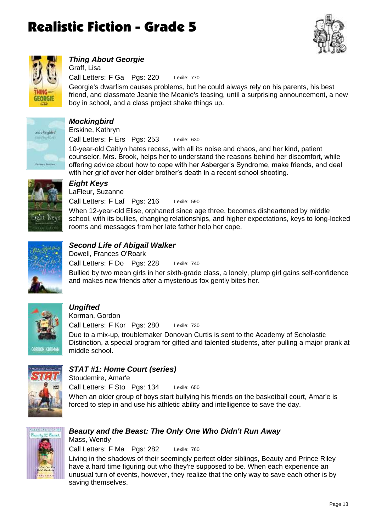



### *Thing About Georgie*

Lexile: 770 Call Letters: F Ga Pgs: 220 Graff, Lisa

Georgie's dwarfism causes problems, but he could always rely on his parents, his best friend, and classmate Jeanie the Meanie's teasing, until a surprising announcement, a new boy in school, and a class project shake things up.



## *Mockingbird*

Lexile: 630 Call Letters: F Ers Pgs: 253 Erskine, Kathryn

10-year-old Caitlyn hates recess, with all its noise and chaos, and her kind, patient counselor, Mrs. Brook, helps her to understand the reasons behind her discomfort, while offering advice about how to cope with her Asberger's Syndrome, make friends, and deal with her grief over her older brother's death in a recent school shooting.



## *Eight Keys*

Lexile: 590 Call Letters: F Laf Pgs: 216 LaFleur, Suzanne

When 12-year-old Elise, orphaned since age three, becomes disheartened by middle school, with its bullies, changing relationships, and higher expectations, keys to long-locked rooms and messages from her late father help her cope.



### *Second Life of Abigail Walker*

Lexile: 740 Bullied by two mean girls in her sixth-grade class, a lonely, plump girl gains self-confidence and makes new friends after a mysterious fox gently bites her. Call Letters: F Do Pgs: 228 Dowell, Frances O'Roark



### *Ungifted*

Korman, Gordon

Lexile: 730 Call Letters: F Kor Pgs: 280

Due to a mix-up, troublemaker Donovan Curtis is sent to the Academy of Scholastic Distinction, a special program for gifted and talented students, after pulling a major prank at middle school.



### *STAT #1: Home Court (series)*

Stoudemire, Amar'e

Lexile: 650 Call Letters: F Sto Pgs: 134

When an older group of boys start bullying his friends on the basketball court, Amar'e is forced to step in and use his athletic ability and intelligence to save the day.



#### *Beauty and the Beast: The Only One Who Didn't Run Away* Mass, Wendy

Lexile: 760 Call Letters: F Ma Pgs: 282

Living in the shadows of their seemingly perfect older siblings, Beauty and Prince Riley have a hard time figuring out who they're supposed to be. When each experience an unusual turn of events, however, they realize that the only way to save each other is by saving themselves.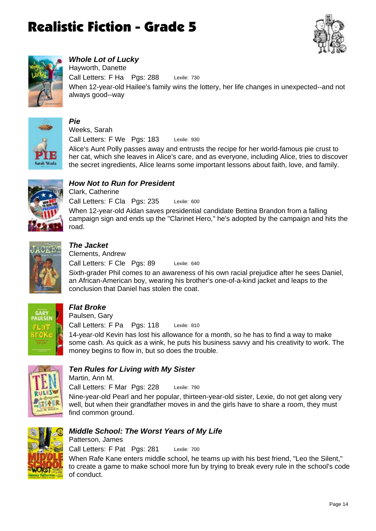



### *Whole Lot of Lucky*

Lexile: 730 When 12-year-old Hailee's family wins the lottery, her life changes in unexpected--and not always good--way Call Letters: F Ha Pgs: 288 Hayworth, Danette



#### *Pie* Weeks, Sarah

Lexile: 930 Call Letters: F We Pgs: 183

Alice's Aunt Polly passes away and entrusts the recipe for her world-famous pie crust to her cat, which she leaves in Alice's care, and as everyone, including Alice, tries to discover the secret ingredients, Alice learns some important lessons about faith, love, and family.



### *How Not to Run for President*

Lexile: 600 When 12-year-old Aidan saves presidential candidate Bettina Brandon from a falling campaign sign and ends up the "Clarinet Hero," he's adopted by the campaign and hits the road. Call Letters: F Cla Pgs: 235 Clark, Catherine



### *The Jacket*

Lexile: 640 Call Letters: F Cle Pgs: 89 Clements, Andrew

Sixth-grader Phil comes to an awareness of his own racial prejudice after he sees Daniel, an African-American boy, wearing his brother's one-of-a-kind jacket and leaps to the conclusion that Daniel has stolen the coat.



### *Flat Broke*

Lexile: 810 Call Letters: F Pa Pgs: 118 Paulsen, Gary

14-year-old Kevin has lost his allowance for a month, so he has to find a way to make some cash. As quick as a wink, he puts his business savvy and his creativity to work. The money begins to flow in, but so does the trouble.



### *Ten Rules for Living with My Sister*

Martin, Ann M.

Lexile: 790 Call Letters: F Mar Pgs: 228

Nine-year-old Pearl and her popular, thirteen-year-old sister, Lexie, do not get along very well, but when their grandfather moves in and the girls have to share a room, they must find common ground.



#### *Middle School: The Worst Years of My Life*

Lexile: 700 Call Letters: F Pat Pgs: 281 Patterson, James

When Rafe Kane enters middle school, he teams up with his best friend, "Leo the Silent," to create a game to make school more fun by trying to break every rule in the school's code of conduct.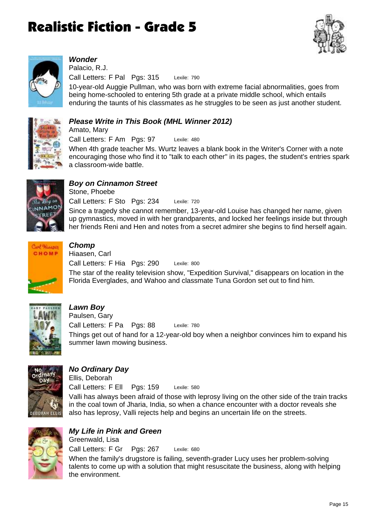



### *Wonder*

Amato, Mary

Lexile: 790 Call Letters: F Pal Pgs: 315 Palacio, R.J.

10-year-old Auggie Pullman, who was born with extreme facial abnormalities, goes from being home-schooled to entering 5th grade at a private middle school, which entails enduring the taunts of his classmates as he struggles to be seen as just another student.



### *Please Write in This Book (MHL Winner 2012)*

Lexile: 480 When 4th grade teacher Ms. Wurtz leaves a blank book in the Writer's Corner with a note encouraging those who find it to "talk to each other" in its pages, the student's entries spark a classroom-wide battle. Call Letters: F Am Pgs: 97



### *Boy on Cinnamon Street*

Lexile: 720 Since a tragedy she cannot remember, 13-year-old Louise has changed her name, given up gymnastics, moved in with her grandparents, and locked her feelings inside but through her friends Reni and Hen and notes from a secret admirer she begins to find herself again. Call Letters: F Sto Pgs: 234 Stone, Phoebe



### *Chomp*

Lexile: 800 The star of the reality television show, "Expedition Survival," disappears on location in the Florida Everglades, and Wahoo and classmate Tuna Gordon set out to find him. Call Letters: F Hia Pgs: 290 Hiaasen, Carl



### *Lawn Boy*

Lexile: 780 Things get out of hand for a 12-year-old boy when a neighbor convinces him to expand his summer lawn mowing business. Call Letters: F Pa Pgs: 88 Paulsen, Gary



### *No Ordinary Day*

Lexile: 580 Valli has always been afraid of those with leprosy living on the other side of the train tracks in the coal town of Jharia, India, so when a chance encounter with a doctor reveals she also has leprosy, Valli rejects help and begins an uncertain life on the streets. Call Letters: F Ell Pgs: 159 Ellis, Deborah



### *My Life in Pink and Green*

Lexile: 680 When the family's drugstore is failing, seventh-grader Lucy uses her problem-solving talents to come up with a solution that might resuscitate the business, along with helping the environment. Call Letters: F Gr Pgs: 267 Greenwald, Lisa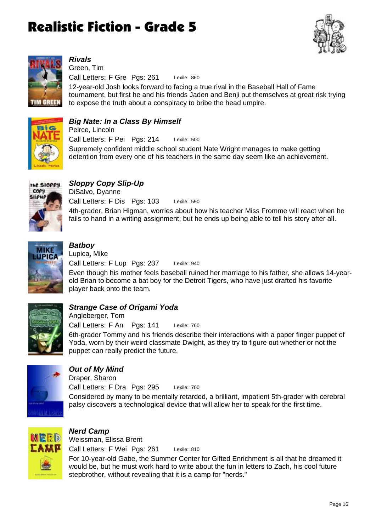



### *Rivals*

Lexile: 860 12-year-old Josh looks forward to facing a true rival in the Baseball Hall of Fame tournament, but first he and his friends Jaden and Benji put themselves at great risk trying to expose the truth about a conspiracy to bribe the head umpire. Call Letters: F Gre Pgs: 261 Green, Tim



### *Big Nate: In a Class By Himself*

Lexile: 500 Supremely confident middle school student Nate Wright manages to make getting detention from every one of his teachers in the same day seem like an achievement. Call Letters: F Pei Pgs: 214 Peirce, Lincoln



### *Sloppy Copy Slip-Up*

Lexile: 590 4th-grader, Brian Higman, worries about how his teacher Miss Fromme will react when he fails to hand in a writing assignment; but he ends up being able to tell his story after all. Call Letters: F Dis Pgs: 103 DiSalvo, Dyanne



### *Batboy*

Lexile: 940 Even though his mother feels baseball ruined her marriage to his father, she allows 14-yearold Brian to become a bat boy for the Detroit Tigers, who have just drafted his favorite player back onto the team. Call Letters: F Lup Pgs: 237 Lupica, Mike



### *Strange Case of Origami Yoda*

Lexile: 760 Call Letters: F An Pgs: 141 Angleberger, Tom

6th-grader Tommy and his friends describe their interactions with a paper finger puppet of Yoda, worn by their weird classmate Dwight, as they try to figure out whether or not the puppet can really predict the future.



### *Out of My Mind*

Lexile: 700 Considered by many to be mentally retarded, a brilliant, impatient 5th-grader with cerebral palsy discovers a technological device that will allow her to speak for the first time. Call Letters: F Dra Pgs: 295 Draper, Sharon



### *Nerd Camp*

Lexile: 810 For 10-year-old Gabe, the Summer Center for Gifted Enrichment is all that he dreamed it would be, but he must work hard to write about the fun in letters to Zach, his cool future stepbrother, without revealing that it is a camp for "nerds." Call Letters: F Wei Pgs: 261 Weissman, Elissa Brent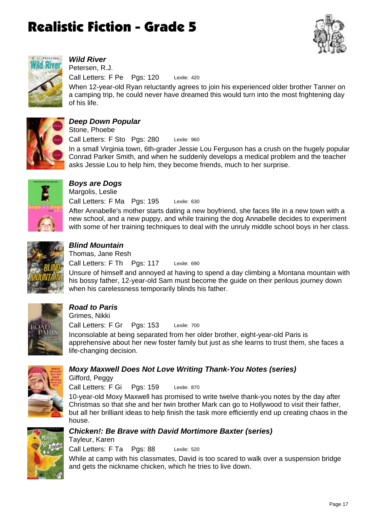



### *Wild River*

Lexile: 420 Call Letters: F Pe Pgs: 120 Petersen, R.J.

When 12-year-old Ryan reluctantly agrees to join his experienced older brother Tanner on a camping trip, he could never have dreamed this would turn into the most frightening day of his life.



### *Deep Down Popular*

Lexile: 960 In a small Virginia town, 6th-grader Jessie Lou Ferguson has a crush on the hugely popular Conrad Parker Smith, and when he suddenly develops a medical problem and the teacher asks Jessie Lou to help him, they become friends, much to her surprise. Call Letters: F Sto Pgs: 280 Stone, Phoebe



### *Boys are Dogs*

Lexile: 630 After Annabelle's mother starts dating a new boyfriend, she faces life in a new town with a new school, and a new puppy, and while training the dog Annabelle decides to experiment with some of her training techniques to deal with the unruly middle school boys in her class. Call Letters: F Ma Pgs: 195 Margolis, Leslie



### *Blind Mountain*

Lexile: 690 Unsure of himself and annoyed at having to spend a day climbing a Montana mountain with his bossy father, 12-year-old Sam must become the guide on their perilous journey down when his carelessness temporarily blinds his father. Call Letters: F Th Pgs: 117 Thomas, Jane Resh



## *Road to Paris*

Lexile: 700 Inconsolable at being separated from her older brother, eight-year-old Paris is apprehensive about her new foster family but just as she learns to trust them, she faces a life-changing decision. Call Letters: F Gr Pgs: 153 Grimes, Nikki



### *Moxy Maxwell Does Not Love Writing Thank-You Notes (series)*

Gifford, Peggy

Tayleur, Karen

Lexile: 870 Call Letters: F Gi Pgs: 159

10-year-old Moxy Maxwell has promised to write twelve thank-you notes by the day after Christmas so that she and her twin brother Mark can go to Hollywood to visit their father, but all her brilliant ideas to help finish the task more efficiently end up creating chaos in the house.



### *Chicken!: Be Brave with David Mortimore Baxter (series)*

Lexile: 520 While at camp with his classmates, David is too scared to walk over a suspension bridge and gets the nickname chicken, which he tries to live down. Call Letters: F Ta Pgs: 88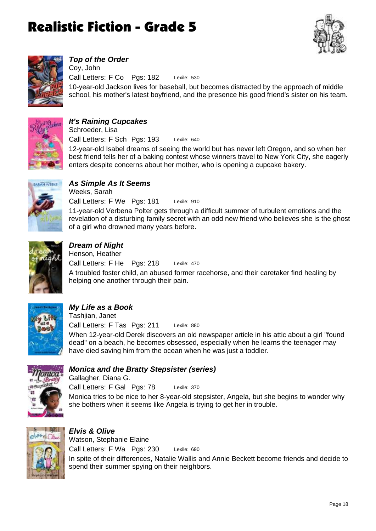



### *Top of the Order*

Lexile: 530 10-year-old Jackson lives for baseball, but becomes distracted by the approach of middle school, his mother's latest boyfriend, and the presence his good friend's sister on his team. Call Letters: F Co Pgs: 182 Coy, John



#### *It's Raining Cupcakes*

Lexile: 640 12-year-old Isabel dreams of seeing the world but has never left Oregon, and so when her best friend tells her of a baking contest whose winners travel to New York City, she eagerly enters despite concerns about her mother, who is opening a cupcake bakery. Call Letters: F Sch Pgs: 193 Schroeder, Lisa



#### *As Simple As It Seems* Lexile: 910 11-year-old Verbena Polter gets through a difficult summer of turbulent emotions and the revelation of a disturbing family secret with an odd new friend who believes she is the ghost Call Letters: F We Pgs: 181 Weeks, Sarah



### *Dream of Night*

Lexile: 470 A troubled foster child, an abused former racehorse, and their caretaker find healing by helping one another through their pain. Call Letters: F He Pgs: 218 Henson, Heather



### *My Life as a Book*

Lexile: 880 When 12-year-old Derek discovers an old newspaper article in his attic about a girl "found dead" on a beach, he becomes obsessed, especially when he learns the teenager may have died saving him from the ocean when he was just a toddler. Call Letters: F Tas Pgs: 211 Tashjian, Janet

of a girl who drowned many years before.



### *Monica and the Bratty Stepsister (series)*

Lexile: 370 Monica tries to be nice to her 8-year-old stepsister, Angela, but she begins to wonder why she bothers when it seems like Angela is trying to get her in trouble. Call Letters: F Gal Pgs: 78 Gallagher, Diana G.



#### *Elvis & Olive* Lexile: 690 In spite of their differences, Natalie Wallis and Annie Beckett become friends and decide to spend their summer spying on their neighbors. Call Letters: F Wa Pgs: 230 Watson, Stephanie Elaine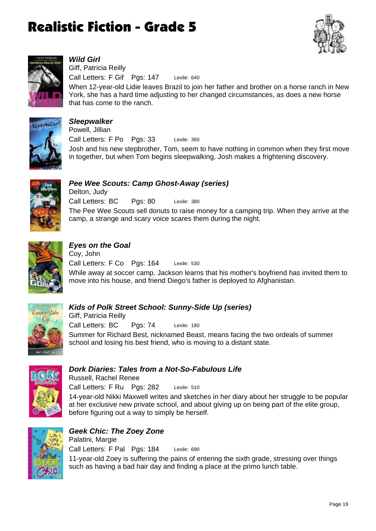



### *Wild Girl*

Lexile: 640 Call Letters: F Gif Pgs: 147 Giff, Patricia Reilly

When 12-year-old Lidie leaves Brazil to join her father and brother on a horse ranch in New York, she has a hard time adjusting to her changed circumstances, as does a new horse that has come to the ranch.



*Sleepwalker* Lexile: 360 Josh and his new stepbrother, Tom, seem to have nothing in common when they first move in together, but when Tom begins sleepwalking, Josh makes a frightening discovery. Call Letters: F Po Pgs: 33 Powell, Jillian



*Pee Wee Scouts: Camp Ghost-Away (series)* Lexile: 380 Call Letters: BC Pgs: 80 Delton, Judy

The Pee Wee Scouts sell donuts to raise money for a camping trip. When they arrive at the camp, a strange and scary voice scares them during the night.



### *Eyes on the Goal*

Lexile: 530 While away at soccer camp, Jackson learns that his mother's boyfriend has invited them to move into his house, and friend Diego's father is deployed to Afghanistan. Call Letters: F Co Pgs: 164 Coy, John



### *Kids of Polk Street School: Sunny-Side Up (series)*

Lexile: 180 Summer for Richard Best, nicknamed Beast, means facing the two ordeals of summer school and losing his best friend, who is moving to a distant state. Call Letters: BC Pgs: 74 Giff, Patricia Reilly



#### *Dork Diaries: Tales from a Not-So-Fabulous Life*

Lexile: 510 14-year-old Nikki Maxwell writes and sketches in her diary about her struggle to be popular Call Letters: F Ru Pgs: 282 Russell, Rachel Renee

at her exclusive new private school, and about giving up on being part of the elite group, before figuring out a way to simply be herself.



#### *Geek Chic: The Zoey Zone* Lexile: 690 11-year-old Zoey is suffering the pains of entering the sixth grade, stressing over things such as having a bad hair day and finding a place at the primo lunch table. Call Letters: F Pal Pgs: 184 Palatini, Margie